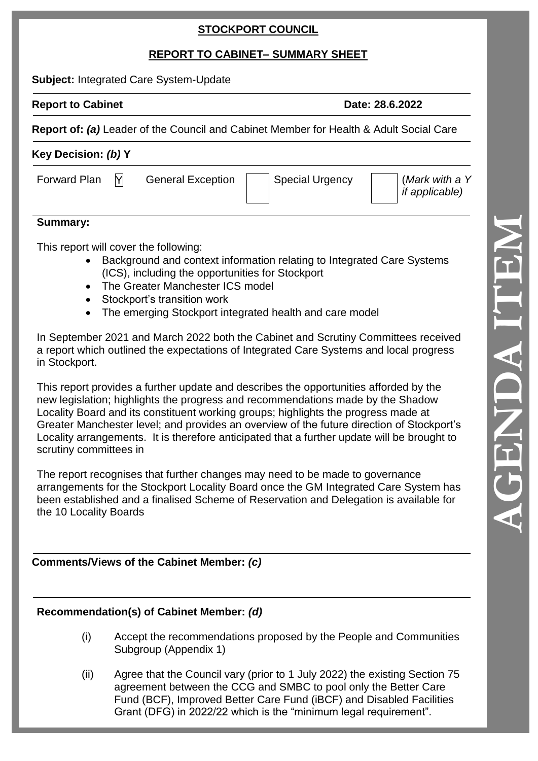# **STOCKPORT COUNCIL**

# **REPORT TO CABINET – SUMMARY SHEET**

Subject: Integrated Care System-Update

### **Report to Cabinet Date: 28.6.2022**

**Report of:** *(a)* Leader of the Council and Cabinet Member for Health & Adult Social Care

| Key Decision: (b) Y |   |                          |  |                 |  |                                  |
|---------------------|---|--------------------------|--|-----------------|--|----------------------------------|
| Forward Plan        | M | <b>General Exception</b> |  | Special Urgency |  | (Mark with a Y<br>if applicable) |

## **Summary:**

This report will cover the following:

- Background and context information relating to Integrated Care Systems (ICS), including the opportunities for Stockport
- The Greater Manchester ICS model
- Stockport's transition work
- The emerging Stockport integrated health and care model

In September 2021 and March 2022 both the Cabinet and Scrutiny Committees received a report which outlined the expectations of Integrated Care Systems and local progress in Stockport.

This report provides a further update and describes the opportunities afforded by the new legislation; highlights the progress and recommendations made by the Shadow Locality Board and its constituent working groups; highlights the progress made at Greater Manchester level; and provides an overview of the future direction of Stockport's Locality arrangements. It is therefore anticipated that a further update will be brought to scrutiny committees in

The report recognises that further changes may need to be made to governance arrangements for the Stockport Locality Board once the GM Integrated Care System has been established and a finalised Scheme of Reservation and Delegation is available for the 10 Locality Boards

# **Comments/Views of the Cabinet Member:** *(c)*

# **Recommendation(s) of Cabinet Member:** *(d)*

- (i) Accept the recommendations proposed by the People and Communities Subgroup (Appendix 1)
- (ii) Agree that the Council vary (prior to 1 July 2022) the existing Section 75 agreement between the CCG and SMBC to pool only the Better Care Fund (BCF), Improved Better Care Fund (iBCF) and Disabled Facilities Grant (DFG) in 2022/22 which is the "minimum legal requirement".